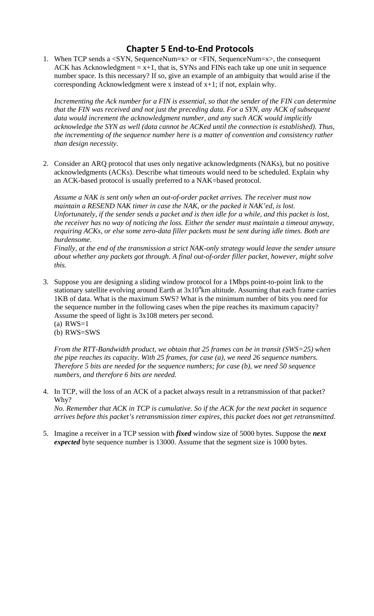## **Chapter 5 End‐to‐End Protocols**

1. When TCP sends a <SYN, SequenceNum=x> or <FIN, SequenceNum=x>, the consequent ACK has Acknowledgment  $= x+1$ , that is, SYNs and FINs each take up one unit in sequence number space. Is this necessary? If so, give an example of an ambiguity that would arise if the corresponding Acknowledgment were x instead of x+1; if not, explain why.

*Incrementing the Ack number for a FIN is essential, so that the sender of the FIN can determine that the FIN was received and not just the preceding data. For a SYN, any ACK of subsequent data would increment the acknowledgment number, and any such ACK would implicitly acknowledge the SYN as well (data cannot be ACKed until the connection is established). Thus, the incrementing of the sequence number here is a matter of convention and consistency rather than design necessity.* 

2. Consider an ARQ protocol that uses only negative acknowledgments (NAKs), but no positive acknowledgments (ACKs). Describe what timeouts would need to be scheduled. Explain why an ACK-based protocol is usually preferred to a NAK=based protocol.

*Assume a NAK is sent only when an out-of-order packet arrives. The receiver must now maintain a RESEND NAK timer in case the NAK, or the packed it NAK'ed, is lost. Unfortunately, if the sender sends a packet and is then idle for a while, and this packet is lost, the receiver has no way of noticing the loss. Either the sender must maintain a timeout anyway, requiring ACKs, or else some zero-data filler packets must be sent during idle times. Both are burdensome.* 

*Finally, at the end of the transmission a strict NAK-only strategy would leave the sender unsure about whether any packets got through. A final out-of-order filler packet, however, might solve this.* 

- 3. Suppose you are designing a sliding window protocol for a 1Mbps point-to-point link to the stationary satellite evolving around Earth at  $3x10^4$ km altitude. Assuming that each frame carries 1KB of data. What is the maximum SWS? What is the minimum number of bits you need for the sequence number in the following cases when the pipe reaches its maximum capacity? Assume the speed of light is 3x108 meters per second.
	- $(a)$  RWS=1 (b) RWS=SWS

*From the RTT-Bandwidth product, we obtain that 25 frames can be in transit (SWS=25) when the pipe reaches its capacity. With 25 frames, for case (a), we need 26 sequence numbers. Therefore 5 bits are needed for the sequence numbers; for case (b), we need 50 sequence numbers, and therefore 6 bits are needed.* 

4. In TCP, will the loss of an ACK of a packet always result in a retransmission of that packet? Why?

*No. Remember that ACK in TCP is cumulative. So if the ACK for the next packet in sequence arrives before this packet's retransmission timer expires, this packet does not get retransmitted.* 

5. Imagine a receiver in a TCP session with *fixed* window size of 5000 bytes. Suppose the *next expected* byte sequence number is 13000. Assume that the segment size is 1000 bytes.